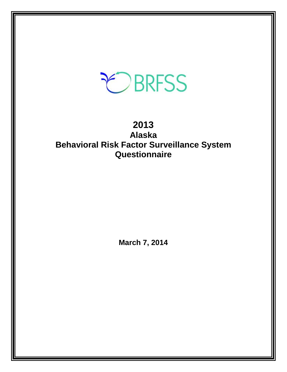# EBRFSS

# **2013 Alaska Behavioral Risk Factor Surveillance System Questionnaire**

**March 7, 2014**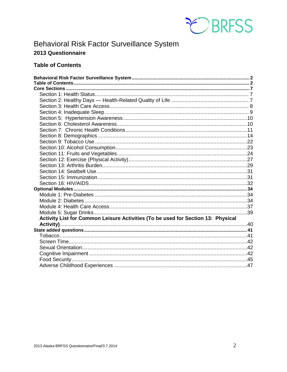

# <span id="page-1-0"></span>Behavioral Risk Factor Surveillance System 2013 Questionnaire

# <span id="page-1-1"></span>**Table of Contents**

| Activity List for Common Leisure Activities (To be used for Section 13: Physical |  |
|----------------------------------------------------------------------------------|--|
|                                                                                  |  |
|                                                                                  |  |
|                                                                                  |  |
|                                                                                  |  |
|                                                                                  |  |
|                                                                                  |  |
|                                                                                  |  |
|                                                                                  |  |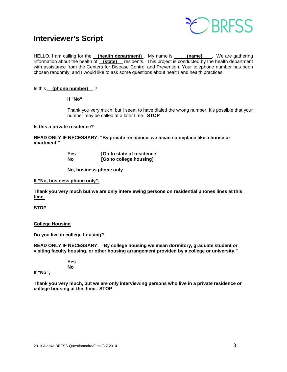

# **Interviewer's Script**

HELLO, I am calling for the **(health department) .** My name is **(name) .** We are gathering information about the health of **(state)** residents. This project is conducted by the health department with assistance from the Centers for Disease Control and Prevention. Your telephone number has been chosen randomly, and I would like to ask some questions about health and health practices.

# Is this **(phone number)** ?

**If "No"** 

Thank you very much, but I seem to have dialed the wrong number. It's possible that your number may be called at a later time. **STOP**

#### **Is this a private residence?**

**READ ONLY IF NECESSARY: "By private residence, we mean someplace like a house or apartment."**

> **Yes [Go to state of residence]**<br>No **the college housing [Go to college housing]**

 **No, business phone only**

#### **If "No, business phone only".**

**Thank you very much but we are only interviewing persons on residential phones lines at this time.**

**STOP**

# **College Housing**

**Do you live in college housing?** 

**READ ONLY IF NECESSARY: "By college housing we mean dormitory, graduate student or visiting faculty housing, or other housing arrangement provided by a college or university."**

> **Yes No**

**If "No",**

**Thank you very much, but we are only interviewing persons who live in a private residence or college housing at this time. STOP**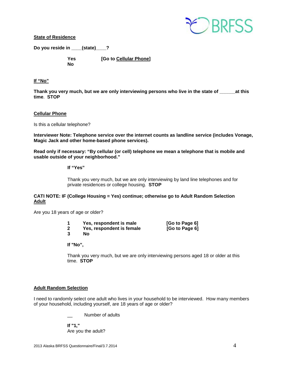

**State of Residence**

**Do you reside in \_\_\_\_(state)\_\_\_\_?** 

 **No** 

 **Yes [Go to Cellular Phone]** 

# **If "No"**

Thank you very much, but we are only interviewing persons who live in the state of at this **time**. **STOP**

# **Cellular Phone**

Is this a cellular telephone?

**Interviewer Note: Telephone service over the internet counts as landline service (includes Vonage, Magic Jack and other home-based phone services).**

**Read only if necessary: "By cellular (or cell) telephone we mean a telephone that is mobile and usable outside of your neighborhood."** 

#### **If "Yes"**

Thank you very much, but we are only interviewing by land line telephones and for private residences or college housing. **STOP**

# **CATI NOTE: IF (College Housing = Yes) continue; otherwise go to Adult Random Selection Adult**

Are you 18 years of age or older?

| 1 | Yes, respondent is male   | <b>SO</b>  |
|---|---------------------------|------------|
| 2 | Yes, respondent is female | <b>IGo</b> |

**3 No**

**1 IGo to Page 6]**<br>**[Go to Page 6]** 

**If "No",**

Thank you very much, but we are only interviewing persons aged 18 or older at this time. **STOP** 

# **Adult Random Selection**

I need to randomly select one adult who lives in your household to be interviewed. How many members of your household, including yourself, are 18 years of age or older?

Number of adults

**If "1,"**  Are you the adult?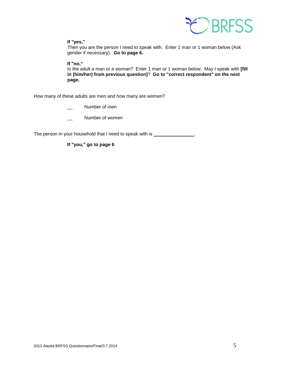

# **If "yes,"**

Then you are the person I need to speak with. Enter 1 man or 1 woman below (Ask gender if necessary). **Go to page 6.**

# **If "no,"**

Is the adult a man or a woman? Enter 1 man or 1 woman below. May I speak with **[fill in (him/her) from previous question]**? **Go to "correct respondent" on the next page.**

How many of these adults are men and how many are women?

Number of men

Number of women

The person in your household that I need to speak with is \_\_\_\_\_\_\_\_\_\_\_\_\_\_\_.

**If "you," go to page 6**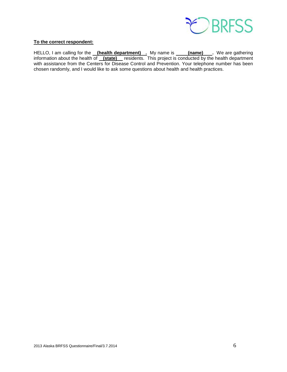

# **To the correct respondent:**

HELLO, I am calling for the <u>\_\_**(health department)** \_\_</u> My name is \_\_\_\_\_**(name)** \_\_\_. We are gathering information about the health of **(state)** residents. This project is conducted by the health department with assistance from the Centers for Disease Control and Prevention. Your telephone number has been chosen randomly, and I would like to ask some questions about health and health practices.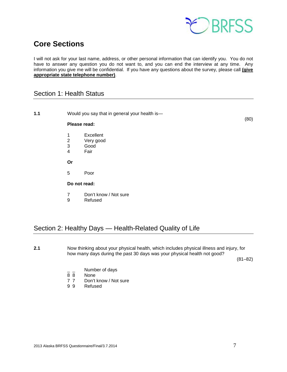

# <span id="page-6-0"></span>**Core Sections**

I will not ask for your last name, address, or other personal information that can identify you. You do not have to answer any question you do not want to, and you can end the interview at any time. Any information you give me will be confidential. If you have any questions about the survey, please call **(give appropriate state telephone number)**.

# <span id="page-6-1"></span>Section 1: Health Status

**1.1** Would you say that in general your health is—  $(80)$ **Please read:** 1 Excellent<br>2 Very good 2 Very good<br>3 Good 3 Good<br>4 Fair **Fair Or** 5 Poor **Do not read:** 7 Don't know / Not sure<br>9 Refused **Refused** 

# <span id="page-6-2"></span>Section 2: Healthy Days — Health-Related Quality of Life

**2.1** Now thinking about your physical health, which includes physical illness and injury, for how many days during the past 30 days was your physical health not good?

 $(81-82)$ 

- $\frac{1}{8}$   $\frac{1}{8}$  Number of days
- 8 8 None<br>7 7 Don't
- 7 7 Don't know / Not sure<br>9 9 Refused
- Refused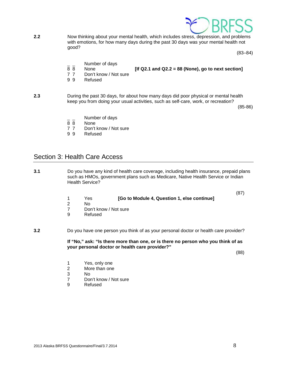

**2.2** Now thinking about your mental health, which includes stress, depression, and problems with emotions, for how many days during the past 30 days was your mental health not good?

 $(83-84)$ 

- $\frac{1}{8}$   $\frac{1}{8}$  Number of days
- 8 8 None **[If Q2.1 and Q2.2 = 88 (None), go to next section]**
- 
- 7 7 Don't know / Not sure<br>9 9 Refused **Refused**
- **2.3** During the past 30 days, for about how many days did poor physical or mental health keep you from doing your usual activities, such as self-care, work, or recreation?

 $(85-86)$ 

- $\frac{1}{8}$   $\frac{1}{8}$  Number of days
- None
- 7 7 Don't know / Not sure
- 9 9 Refused

# <span id="page-7-0"></span>Section 3: Health Care Access

**3.1** Do you have any kind of health care coverage, including health insurance, prepaid plans such as HMOs, government plans such as Medicare, Native Health Service or Indian Health Service?

- (87) 1 Yes **[Go to Module 4, Question 1, else continue]**
- 2 No
- Don't know / Not sure
- 9 Refused

**3.2** Do you have one person you think of as your personal doctor or health care provider?

**If "No," ask: "Is there more than one, or is there no person who you think of as your personal doctor or health care provider?"**

(88)

- 1 Yes, only one<br>2 More than one
- 2 More than one<br>3 No
- No.
- 7 Don't know / Not sure<br>9 Refused
- **Refused**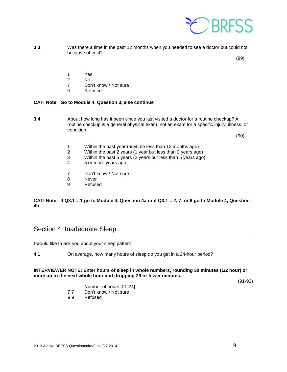

**3.3** Was there a time in the past 12 months when you needed to see a doctor but could not because of cost?

 $(89)$ 

- 
- 1 Yes<br>2 No
- 2 No 7 Don't know / Not sure<br>9 Refused
	- **Refused**

# **CATI Note: Go to Module 4, Question 3, else continue**

**3.4** About how long has it been since you last visited a doctor for a routine checkup? A routine checkup is a general physical exam, not an exam for a specific injury, illness, or condition.

 $(90)$ 

- 1 Within the past year (anytime less than 12 months ago)
- 2 Within the past 2 years (1 year but less than 2 years ago)
- 3 Within the past 5 years (2 years but less than 5 years ago)
- 5 or more years ago
- 7 Don't know / Not sure
- 8 Never
- 9 Refused

# **CATI Note: If Q3.1 = 1 go to Module 4, Question 4a or if Q3.1 = 2, 7, or 9 go to Module 4, Question 4b**

# <span id="page-8-0"></span>Section 4: Inadequate Sleep

I would like to ask you about your sleep pattern.

**4.1** On average, how many hours of sleep do you get in a 24-hour period?

# **INTERVIEWER NOTE: Enter hours of sleep in whole numbers, rounding 30 minutes (1/2 hour) or more up to the next whole hour and dropping 29 or fewer minutes.**

(91-92)

- $\frac{1}{7}$  Number of hours [01-24]<br>77 Don't know / Not sure
- 77 Don't know / Not sure<br>99 Refused
- **Refused**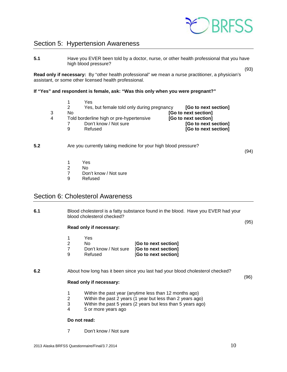

# <span id="page-9-0"></span>Section 5: Hypertension Awareness

**5.1** Have you EVER been told by a doctor, nurse, or other health professional that you have high blood pressure?

**Read only if necessary:** By "other health professional" we mean a nurse practitioner, a physician's assistant, or some other licensed health professional.

## **If "Yes" and respondent is female, ask: "Was this only when you were pregnant?"**

 1 Yes 2 Yes, but female told only during pregnancy **[Go to next section]** 3 No **[Go to next section] 100 Told borderline high or pre-hypertensive [Go to next section]**<br> **4 To to next section**<br> **4 Go to next section** 7 Don't know / Not sure<br>9 Refused [Go to next section]

#### **5.2** Are you currently taking medicine for your high blood pressure?

(94)

(93)

- 1 Yes
- 2 No
	- 7 Don't know / Not sure
	- 9 Refused

# <span id="page-9-1"></span>Section 6: Cholesterol Awareness

**6.1** Blood cholesterol is a fatty substance found in the blood. Have you EVER had your blood cholesterol checked?

#### **Read only if necessary:**

- 1 Yes
- 2 No [**Go to next section]**
- 7 Don't know / Not sure [**Go to next section]**
- 9 Refused [**Go to next section]**

# **6.2** About how long has it been since you last had your blood cholesterol checked?

#### **Read only if necessary:**

- 1 Within the past year (anytime less than 12 months ago)
- 2 Within the past 2 years (1 year but less than 2 years ago)
- 3 Within the past 5 years (2 years but less than 5 years ago)
- 4 5 or more years ago

## **Do not read:**

7 Don't know / Not sure

(96)

(95)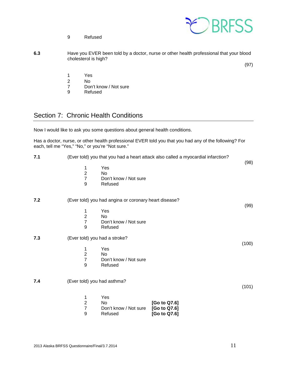9 Refused



| 6.3 | Have you EVER been told by a doctor, nurse or other health professional that your blood |  |
|-----|-----------------------------------------------------------------------------------------|--|
|     | cholesterol is high?                                                                    |  |
|     | (97)                                                                                    |  |

1 Yes

- 
- 2 No<br>7 Dor 7 Don't know / Not sure<br>9 Refused
- **Refused**

# <span id="page-10-0"></span>Section 7: Chronic Health Conditions

Now I would like to ask you some questions about general health conditions.

Has a doctor, nurse, or other health professional EVER told you that you had any of the following? For each, tell me "Yes," "No," or you're "Not sure."

| 7.1 | (Ever told) you that you had a heart attack also called a myocardial infarction?            |       |
|-----|---------------------------------------------------------------------------------------------|-------|
|     | Yes<br>1<br>$\overline{2}$<br>No<br>$\overline{7}$<br>Don't know / Not sure<br>9<br>Refused | (98)  |
| 7.2 | (Ever told) you had angina or coronary heart disease?                                       | (99)  |
|     | Yes<br>1                                                                                    |       |
|     | $\mathbf 2$<br>No                                                                           |       |
|     | $\overline{7}$<br>Don't know / Not sure                                                     |       |
|     | 9<br>Refused                                                                                |       |
| 7.3 | (Ever told) you had a stroke?                                                               |       |
|     | Yes<br>1                                                                                    | (100) |
|     | $\mathbf 2$<br>No                                                                           |       |
|     | $\overline{7}$<br>Don't know / Not sure                                                     |       |
|     | 9<br>Refused                                                                                |       |
|     |                                                                                             |       |
| 7.4 | (Ever told) you had asthma?                                                                 | (101) |
|     | Yes<br>1                                                                                    |       |
|     | $\overline{2}$<br>[Go to Q7.6]<br>No                                                        |       |
|     | $\boldsymbol{7}$<br>[Go to Q7.6]<br>Don't know / Not sure                                   |       |
|     | 9<br>Refused<br>[Go to Q7.6]                                                                |       |
|     |                                                                                             |       |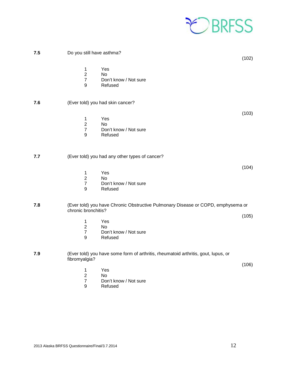

| 7.5 | Do you still have asthma?                              |                                                                                    | (102) |
|-----|--------------------------------------------------------|------------------------------------------------------------------------------------|-------|
|     | 1<br>$\overline{2}$<br>$\boldsymbol{7}$<br>9           | Yes<br>No<br>Don't know / Not sure<br>Refused                                      |       |
| 7.6 |                                                        | (Ever told) you had skin cancer?                                                   |       |
|     | 1<br>$\overline{2}$<br>$\overline{7}$<br>9             | Yes<br>No<br>Don't know / Not sure<br>Refused                                      | (103) |
| 7.7 |                                                        | (Ever told) you had any other types of cancer?                                     |       |
|     | 1<br>$\overline{2}$<br>$\boldsymbol{7}$<br>9           | Yes<br>No<br>Don't know / Not sure<br>Refused                                      | (104) |
| 7.8 | chronic bronchitis?                                    | (Ever told) you have Chronic Obstructive Pulmonary Disease or COPD, emphysema or   |       |
|     | 1<br>$\overline{2}$<br>$\overline{7}$<br>9             | Yes<br>No<br>Don't know / Not sure<br>Refused                                      | (105) |
| 7.9 | fibromyalgia?                                          | (Ever told) you have some form of arthritis, rheumatoid arthritis, gout, lupus, or |       |
|     | 1<br>$\mathbf 2$<br>$\overline{7}$<br>$\boldsymbol{9}$ | Yes<br>No<br>Don't know / Not sure<br>Refused                                      | (106) |
|     |                                                        |                                                                                    |       |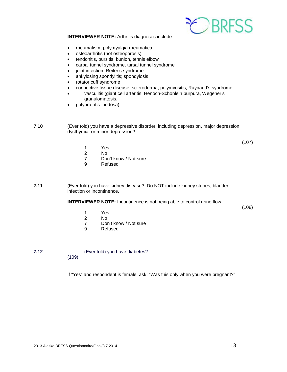

**INTERVIEWER NOTE:** Arthritis diagnoses include:

- rheumatism, polymyalgia rheumatica
- osteoarthritis (not osteoporosis)
- tendonitis, bursitis, bunion, tennis elbow
- carpal tunnel syndrome, tarsal tunnel syndrome
- joint infection, Reiter's syndrome
- ankylosing spondylitis; spondylosis
- rotator cuff syndrome
- connective tissue disease, scleroderma, polymyositis, Raynaud's syndrome
- vasculitis (giant cell arteritis, Henoch-Schonlein purpura, Wegener's granulomatosis,
- polyarteritis nodosa)

**7.10** (Ever told) you have a depressive disorder, including depression, major depression, dysthymia, or minor depression?

(107)

- 1 Yes<br>2 No
- 2 No
- 7 Don't know / Not sure<br>9 Refused
- **Refused**

**7.11** (Ever told) you have kidney disease? Do NOT include kidney stones, bladder infection or incontinence.

**INTERVIEWER NOTE:** Incontinence is not being able to control urine flow.

(108)

- 1 Yes
- 2 No<br>7 Dor
- 7 Don't know / Not sure<br>9 Refused
- **Refused**

**7.12** (Ever told) you have diabetes? (109)

If "Yes" and respondent is female, ask: "Was this only when you were pregnant?"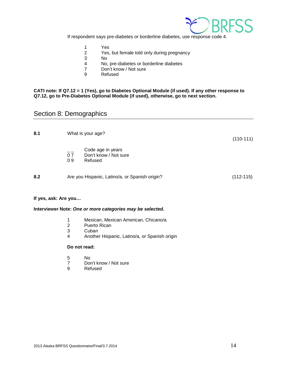

If respondent says pre-diabetes or borderline diabetes, use response code 4.

- 1 Yes<br>2 Yes,
- Yes, but female told only during pregnancy
- 3 No.<br>4 No.
- 4 No, pre-diabetes or borderline diabetes
- Don't know / Not sure
- 9 Refused

## **CATI note: If Q7.12 = 1 (Yes), go to Diabetes Optional Module (if used). If any other response to Q7.12, go to Pre-Diabetes Optional Module (if used), otherwise, go to next section.**

# <span id="page-13-0"></span>Section 8: Demographics

| 8.1 | What is your age?<br>$(110-111)$ |                                                       |             |  |
|-----|----------------------------------|-------------------------------------------------------|-------------|--|
|     | 07<br>09                         | Code age in years<br>Don't know / Not sure<br>Refused |             |  |
| 8.2 |                                  | Are you Hispanic, Latino/a, or Spanish origin?        | $(112-115)$ |  |

## **If yes, ask: Are you…**

# **Interviewer Note:** *One or more categories may be selected.*

- 1 Mexican, Mexican American, Chicano/a
- Puerto Rican
- 3 Cuban<br>4 Anothe
- 4 Another Hispanic, Latino/a, or Spanish origin

#### **Do not read:**

- 5 No<br>7 Dor
- 7 Don't know / Not sure<br>9 Refused
- **Refused**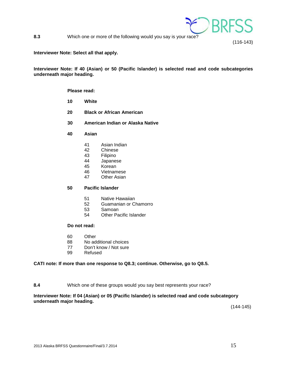

**8.3** Which one or more of the following would you say is your race?

#### **Interviewer Note: Select all that apply.**

## **Interviewer Note: If 40 (Asian) or 50 (Pacific Islander) is selected read and code subcategories underneath major heading.**

#### **Please read:**

- **10 White**
- **20 Black or African American**
- **30 American Indian or Alaska Native**
- **40 Asian**
	- 41 Asian Indian
	- 42 Chinese<br>43 Filipino
	- 43 Filipino<br>44 Japanes
	- Japanese
	- 45 Korean<br>46 Vietnam
	- 46 Vietnamese<br>47 Other Asian
	- **Other Asian**

# **50 Pacific Islander**

- 51 Native Hawaiian<br>52 Guamanian or C
- Guamanian or Chamorro
- 53 Samoan<br>54 Other Pa
- **Other Pacific Islander**

# **Do not read:**

- 60 Other
- 88 No additional choices
- 77 Don't know / Not sure<br>99 Refused
- Refused

# **CATI note: If more than one response to Q8.3; continue. Otherwise, go to Q8.5.**

#### **8.4** Which one of these groups would you say best represents your race?

# **Interviewer Note: If 04 (Asian) or 05 (Pacific Islander) is selected read and code subcategory underneath major heading.**

(144-145)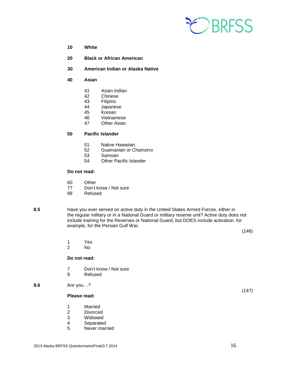

- **10 White**
- **20 Black or African American**
- **30 American Indian or Alaska Native**
- **40 Asian**
	- 41 Asian Indian
	- **Chinese**
	- 43 Filipino
	- 44 Japanese<br>45 Korean
	- 45 Korean
	- 46 Vietnamese<br>47 Other Asian
	- Other Asian

# **50 Pacific Islander**

- 51 Native Hawaiian
- 52 Guamanian or Chamorro<br>53 Samoan
- 53 Samoan<br>54 Other Pa
- **Other Pacific Islander**

# **Do not read:**

- 60 Other<br>77 Don't
- 77 Don't know / Not sure<br>99 Refused
- Refused
- 

**8.5** Have you ever served on active duty in the United States Armed Forces, either in the regular military or in a National Guard or military reserve unit? Active duty does not include training for the Reserves or National Guard, but DOES include activation, for example, for the Persian Gulf War.

(146)

- 1 Yes
- N<sub>o</sub>

#### **Do not read:**

- 7 Don't know / Not sure<br>9 Refused
- **Refused**

## **8.6** Are you…?

# **Please read:**

- 1 Married<br>2 Divorced
- 2 Divorced<br>3 Widowed
- 3 Widowed<br>4 Separated
- 4 Separated<br>5 Never marr
- Never married

(147)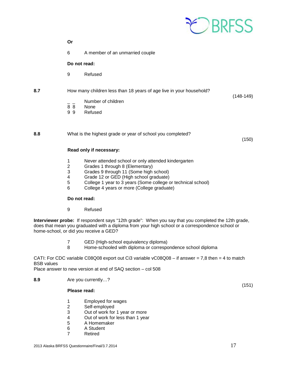

|                   | Or                                      |                                                                                                                                                                                                                                                                                          |             |
|-------------------|-----------------------------------------|------------------------------------------------------------------------------------------------------------------------------------------------------------------------------------------------------------------------------------------------------------------------------------------|-------------|
|                   | 6                                       | A member of an unmarried couple                                                                                                                                                                                                                                                          |             |
|                   | Do not read:                            |                                                                                                                                                                                                                                                                                          |             |
|                   | 9                                       | Refused                                                                                                                                                                                                                                                                                  |             |
| 8.7               |                                         | How many children less than 18 years of age live in your household?                                                                                                                                                                                                                      | $(148-149)$ |
|                   | 88<br>99                                | Number of children<br>None<br>Refused                                                                                                                                                                                                                                                    |             |
| 8.8               |                                         | What is the highest grade or year of school you completed?                                                                                                                                                                                                                               | (150)       |
|                   |                                         | Read only if necessary:                                                                                                                                                                                                                                                                  |             |
|                   | 1<br>$\overline{c}$<br>3<br>4<br>5<br>6 | Never attended school or only attended kindergarten<br>Grades 1 through 8 (Elementary)<br>Grades 9 through 11 (Some high school)<br>Grade 12 or GED (High school graduate)<br>College 1 year to 3 years (Some college or technical school)<br>College 4 years or more (College graduate) |             |
|                   | Do not read:                            |                                                                                                                                                                                                                                                                                          |             |
|                   | 9                                       | Refused                                                                                                                                                                                                                                                                                  |             |
|                   |                                         | Interviewer probe: If respondent says "12th grade": When you say that you completed the 12th grade,<br>does that mean you graduated with a diploma from your high school or a correspondence school or<br>home-school, or did you receive a GED?                                         |             |
|                   | $\sqrt{2}$<br>8                         | GED (High-school equivalency diploma)<br>Home-schooled with diploma or correspondence school diploma                                                                                                                                                                                     |             |
| <b>BSB</b> values |                                         | CATI: For CDC variable C08Q08 export out Ci3 variable $vC08Q08 - if$ answer = 7,8 then = 4 to match<br>Place answer to new version at end of SAQ section - col 508                                                                                                                       |             |
|                   |                                         |                                                                                                                                                                                                                                                                                          |             |
| 8.9               |                                         | Are you currently?                                                                                                                                                                                                                                                                       | (151)       |

# **Please read:**

- 1 Employed for wages<br>2 Self-employed<br>3 Out of work for 1 yea
- Self-employed
- 3 Out of work for 1 year or more
- 4 Out of work for less than 1 year
- 5 A Homemaker<br>6 A Student
- 6 A Student<br>7 Retired
	- **Retired**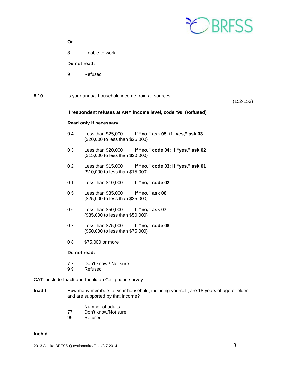

|      | Or             |                                                                                               |             |
|------|----------------|-----------------------------------------------------------------------------------------------|-------------|
|      | 8              | Unable to work                                                                                |             |
|      | Do not read:   |                                                                                               |             |
|      | 9              | Refused                                                                                       |             |
| 8.10 |                | Is your annual household income from all sources-                                             | $(152-153)$ |
|      |                | If respondent refuses at ANY income level, code '99' (Refused)                                |             |
|      |                | Read only if necessary:                                                                       |             |
|      | 04             | Less than \$25,000<br>If "no," ask 05; if "yes," ask 03<br>(\$20,000 to less than \$25,000)   |             |
|      | 03             | Less than $$20,000$<br>If "no," code 04; if "yes," ask 02<br>(\$15,000 to less than \$20,000) |             |
|      | 0 <sub>2</sub> | Less than \$15,000<br>If "no," code 03; if "yes," ask 01<br>(\$10,000 to less than \$15,000)  |             |
|      | 0 <sub>1</sub> | Less than $$10,000$<br>If "no," code 02                                                       |             |
|      | 0 <sub>5</sub> | Less than \$35,000<br>If "no," ask 06<br>(\$25,000 to less than \$35,000)                     |             |
|      | 06             | Less than \$50,000<br>If "no," ask 07<br>(\$35,000 to less than \$50,000)                     |             |
|      | 07             | Less than \$75,000<br>If "no," code 08<br>(\$50,000 to less than \$75,000)                    |             |
|      | 08             | \$75,000 or more                                                                              |             |
|      | Do not read:   |                                                                                               |             |
|      | 77<br>99       | Don't know / Not sure<br>Refused                                                              |             |
|      |                | CATI: include Inadlt and Inchid on Cell phone survey                                          |             |

- **Inadlt** How many members of your household, including yourself, are 18 years of age or older and are supported by that income?
	- <sup>-</sup> \_\_ Number of adults<br>77 Don't know/Not su
	- 77 Don't know/Not sure<br>99 Refused
	- Refused

# **Inchld**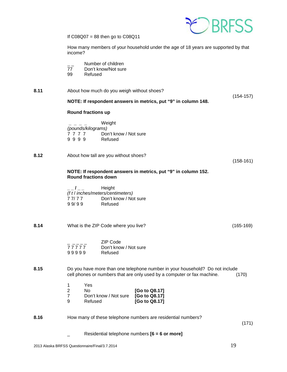

If  $CO8Q07 = 88$  then go to  $CO8Q11$ 

How many members of your household under the age of 18 years are supported by that income?

- \_\_ Number of children<br>77 Don't know/Not sure
- Don't know/Not sure
- 99 Refused
- **8.11** About how much do you weigh without shoes?

(154-157)

# **NOTE: If respondent answers in metrics, put "9" in column 148.**

# **Round fractions up**

 **\_ \_ \_ \_** Weight *(pounds/kilograms)* 7 7 7 7 Don't know / Not sure<br>9 9 9 9 Refused 9 9 9 9

**8.12** About how tall are you without shoes?

(158-161)

# **NOTE: If respondent answers in metrics, put "9" in column 152. Round fractions down**

**\_ \_ / \_ \_** Height *(f t* / *inches/meters/centimeters)* 7 7/ 7 7 Don't know / Not sure<br>9 9/ 9 9 Refused Refused

**8.14** What is the ZIP Code where you live? Conserved the CIP Code where you live?

|       | ZIP Code              |
|-------|-----------------------|
| 77777 | Don't know / Not sure |
| 99999 | Refused               |

# **8.15** Do you have more than one telephone number in your household? Do not include cell phones or numbers that are only used by a computer or fax machine. (170)

| 1  | Yes                   |               |
|----|-----------------------|---------------|
| -2 | Nο                    | [Go to Q8.17] |
| -7 | Don't know / Not sure | [Go to Q8.17] |
| 9  | Refused               | [Go to Q8.17] |

# **8.16** How many of these telephone numbers are residential numbers?

(171)

\_ Residential telephone numbers **[6 = 6 or more]**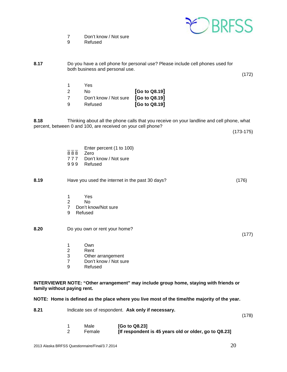

7 Don't know / Not sure<br>9 Refused

**Refused** 

**8.17** Do you have a cell phone for personal use? Please include cell phones used for both business and personal use.

> 1 Yes 2 No **[Go to Q8.19]**  7 Don't know / Not sure **[Go to Q8.19]**  9 Refused **[Go to Q8.19]**

**8.18** Thinking about all the phone calls that you receive on your landline and cell phone, what percent, between 0 and 100, are received on your cell phone?

(173-175)

(172)

|  |  | Enter percent (1 to 100) |  |  |
|--|--|--------------------------|--|--|
|  |  |                          |  |  |

- 8 8 8 Zero<br>7 7 7 Don't
- Don't know / Not sure
- 999 Refused

**8.19** Have you used the internet in the past 30 days? (176)

- 1 Yes
- 2 No<br>7 Don't ki
- Don't know/Not sure
- 9 Refused

# **8.20** Do you own or rent your home?

- 1 Own
- 2 Rent<br>3 Other
- 3 Other arrangement<br>7 Don't know / Not su Don't know / Not sure
- 9 Refused

**INTERVIEWER NOTE: "Other arrangement" may include group home, staying with friends or family without paying rent.**

**NOTE: Home is defined as the place where you live most of the time/the majority of the year.** 

| 8.21 | Indicate sex of respondent. Ask only if necessary. |  |
|------|----------------------------------------------------|--|
|------|----------------------------------------------------|--|

(178)

(177)

| Male   | [Go to Q8.23]                                         |
|--------|-------------------------------------------------------|
| Female | [If respondent is 45 years old or older, go to Q8.23] |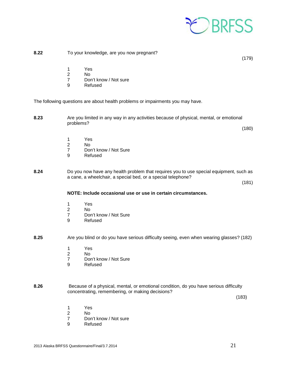

# **8.22** To your knowledge, are you now pregnant?

(179)

- 1 Yes
- 2 No
- 7 Don't know / Not sure<br>9 Refused
- **Refused**

The following questions are about health problems or impairments you may have.

**8.23** Are you limited in any way in any activities because of physical, mental, or emotional problems?

(180)

- 1 Yes<br>2 No
- N<sub>o</sub>
- 7 Don't know / Not Sure<br>9 Refused
- **Refused**
- **8.24** Do you now have any health problem that requires you to use special equipment, such as a cane, a wheelchair, a special bed, or a special telephone?

(181)

# **NOTE: Include occasional use or use in certain circumstances.**

- 1 Yes
- 2 No
- 7 Don't know / Not Sure<br>9 Refused
- **Refused**
- **8.25** Are you blind or do you have serious difficulty seeing, even when wearing glasses? (182)
	- 1 Yes<br>2 No
	- 2 No<br>7 Dor
	- 7 Don't know / Not Sure<br>9 Refused
	- **Refused**
- **8.26** Because of a physical, mental, or emotional condition, do you have serious difficulty concentrating, remembering, or making decisions?

 $(183)$ 

- 1 Yes<br>2 No
- 2 No<br>7 Dor
- 7 Don't know / Not sure<br>9 Refused
- **Refused**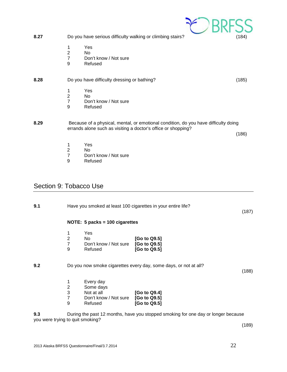<span id="page-21-0"></span>

| 8.27                                    |                                                                         |                                                                          | Do you have serious difficulty walking or climbing stairs?                                                                                           | (184) |
|-----------------------------------------|-------------------------------------------------------------------------|--------------------------------------------------------------------------|------------------------------------------------------------------------------------------------------------------------------------------------------|-------|
|                                         | 1<br>$\overline{c}$<br>$\overline{7}$<br>9                              | Yes<br><b>No</b><br>Don't know / Not sure<br>Refused                     |                                                                                                                                                      |       |
| 8.28                                    |                                                                         | Do you have difficulty dressing or bathing?                              |                                                                                                                                                      | (185) |
|                                         | 1<br>$\overline{c}$<br>$\overline{7}$<br>9                              | Yes<br><b>No</b><br>Don't know / Not sure<br>Refused                     |                                                                                                                                                      |       |
| 8.29                                    |                                                                         |                                                                          | Because of a physical, mental, or emotional condition, do you have difficulty doing<br>errands alone such as visiting a doctor's office or shopping? | (186) |
|                                         | 1<br>$\overline{c}$<br>$\overline{7}$<br>9                              | Yes<br><b>No</b><br>Don't know / Not sure<br>Refused                     |                                                                                                                                                      |       |
| Section 9: Tobacco Use<br>9.1           |                                                                         |                                                                          | Have you smoked at least 100 cigarettes in your entire life?                                                                                         | (187) |
|                                         |                                                                         | NOTE: 5 packs = 100 cigarettes                                           |                                                                                                                                                      |       |
|                                         | 1<br>$\boldsymbol{2}$<br>$\boldsymbol{7}$<br>9                          | Yes<br>No<br>Don't know / Not sure<br>Refused                            | [Go to Q9.5]<br>[Go to Q9.5]<br>[Go to Q9.5]                                                                                                         |       |
| 9.2                                     |                                                                         |                                                                          | Do you now smoke cigarettes every day, some days, or not at all?                                                                                     | (188) |
|                                         | 1<br>$\overline{\mathbf{c}}$<br>3<br>$\overline{7}$<br>$\boldsymbol{9}$ | Every day<br>Some days<br>Not at all<br>Don't know / Not sure<br>Refused | [Go to Q9.4]<br>[Go to Q9.5]<br>[Go to Q9.5]                                                                                                         |       |
| 9.3<br>you were trying to quit smoking? |                                                                         |                                                                          | During the past 12 months, have you stopped smoking for one day or longer because                                                                    |       |
|                                         |                                                                         |                                                                          |                                                                                                                                                      | (189) |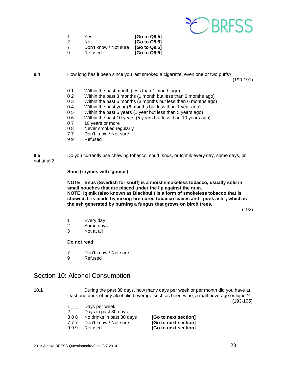

| 1  | Yes                   | [Go to Q9.5] |
|----|-----------------------|--------------|
| -2 | No.                   | [Go to Q9.5] |
|    | Don't know / Not sure | [Go to Q9.5] |
| 9  | Refused               | [Go to Q9.5] |

**9.4** How long has it been since you last smoked a cigarette, even one or two puffs?

(190-191)

- 0 1 Within the past month (less than 1 month ago)<br>0 2 Within the past 3 months (1 month but less tha
- Within the past 3 months (1 month but less than 3 months ago)
- 0 3 Within the past 6 months (3 months but less than 6 months ago)
- 0 4 Within the past year (6 months but less than 1 year ago)<br>0 5 Within the past 5 years (1 year but less than 5 years ago
- Within the past 5 years (1 year but less than 5 years ago)
- 0 6 Within the past 10 years (5 years but less than 10 years ago)<br>0 7 10 years or more
- 10 years or more
- 0 8 Never smoked regularly
- 77 Don't know / Not sure<br>99 Refused
- **Refused**

**9.5** Do you currently use chewing tobacco, snuff, snus, or Iq'mik every day, some days, or not at all?

#### **Snus (rhymes with 'goose')**

**NOTE: Snus (Swedish for snuff) is a moist smokeless tobacco, usually sold in small pouches that are placed under the lip against the gum. NOTE: Iq'mik (also known as Blackbull) is a form of smokeless tobacco that is chewed. It is made by mixing fire-cured tobacco leaves and "punk ash", which is the ash generated by burning a fungus that grows on birch trees.**

(192)

- 1 Every day<br>2 Some days
- Some days
- 3 Not at all

**Do not read:**

- 7 Don't know / Not sure<br>9 Refused
- **Refused**

# <span id="page-22-0"></span>Section 10: Alcohol Consumption

| 10.1 | During the past 30 days, how many days per week or per month did you have at |                                                                                          |                      |  |  |
|------|------------------------------------------------------------------------------|------------------------------------------------------------------------------------------|----------------------|--|--|
|      |                                                                              | least one drink of any alcoholic beverage such as beer, wine, a malt beverage or liquor? |                      |  |  |
|      |                                                                              |                                                                                          | $(193-195)$          |  |  |
|      |                                                                              | Days per week                                                                            |                      |  |  |
|      |                                                                              | Days in past 30 days                                                                     |                      |  |  |
|      | 888                                                                          | No drinks in past 30 days                                                                | [Go to next section] |  |  |
|      | 777                                                                          | Don't know / Not sure                                                                    | [Go to next section] |  |  |
|      | 999                                                                          | Refused                                                                                  | [Go to next section] |  |  |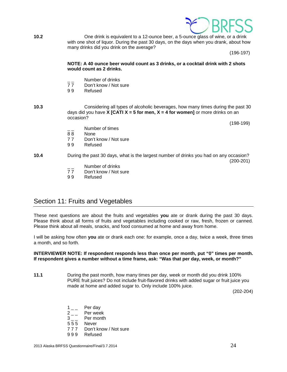

**10.2** One drink is equivalent to a 12-ounce beer, a 5-ounce glass of wine, or a drink with one shot of liquor. During the past 30 days, on the days when you drank, about how many drinks did you drink on the average?

(196-197)

### **NOTE: A 40 ounce beer would count as 3 drinks, or a cocktail drink with 2 shots would count as 2 drinks.**

- $\frac{1}{7}$  Number of drinks<br>77 Don't know / Not s
- 77 Don't know / Not sure<br>99 Refused
- **Refused**

# **10.3** Considering all types of alcoholic beverages, how many times during the past 30 days did you have **X [CATI X = 5 for men, X = 4 for women]** or more drinks on an occasion?

(198-199)

- Number of times
- 88 None
- 77 Don't know / Not sure<br>99 Refused
- **Refused**

**10.4** During the past 30 days, what is the largest number of drinks you had on any occasion? (200-201)

- $\frac{1}{7}$  Number of drinks<br>77 Don't know / Not s
- 77 Don't know / Not sure<br>99 Refused
- **Refused**

# <span id="page-23-0"></span>Section 11: Fruits and Vegetables

These next questions are about the fruits and vegetables **you** ate or drank during the past 30 days. Please think about all forms of fruits and vegetables including cooked or raw, fresh, frozen or canned. Please think about all meals, snacks, and food consumed at home and away from home.

I will be asking how often **you** ate or drank each one: for example, once a day, twice a week, three times a month, and so forth.

## **INTERVIEWER NOTE: If respondent responds less than once per month, put "0" times per month. If respondent gives a number without a time frame, ask: "Was that per day, week, or month?"**

**11.1** During the past month, how many times per day, week or month did you drink 100% PURE fruit juices? Do not include fruit-flavored drinks with added sugar or fruit juice you made at home and added sugar to. Only include 100% juice.

(202-204)

- $1 \quad \quad$  Per day
- $2_{--}$  Per week<br>3 Per month
- Per month
- 5 5 5 Never
- 7 7 7 Don't know / Not sure
- 9 9 9 Refused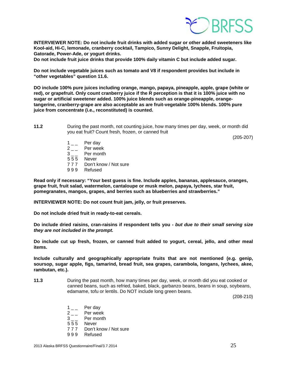

**INTERVIEWER NOTE: Do not include fruit drinks with added sugar or other added sweeteners like Kool-aid, Hi-C, lemonade, cranberry cocktail, Tampico, Sunny Delight, Snapple, Fruitopia, Gatorade, Power-Ade, or yogurt drinks.** 

**Do not include fruit juice drinks that provide 100% daily vitamin C but include added sugar.**

**Do not include vegetable juices such as tomato and V8 if respondent provides but include in "other vegetables" question 11.6.**

**DO include 100% pure juices including orange, mango, papaya, pineapple, apple, grape (white or red), or grapefruit. Only count cranberry juice if the R perception is that it is 100% juice with no sugar or artificial sweetener added. 100% juice blends such as orange-pineapple, orangetangerine, cranberry-grape are also acceptable as are fruit-vegetable 100% blends. 100% pure juice from concentrate (i.e., reconstituted) is counted.** 

**11.2** During the past month, not counting juice, how many times per day, week, or month did you eat fruit? Count fresh, frozen, or canned fruit

(205-207)

- 
- $1 \quad \quad$  Per day<br> $2 \quad \quad$  Per weel  $2 \quad - \quad$  Per week<br>3 Per month
- Per month
- 5 5 5 Never
- 7 7 7 Don't know / Not sure
- 9 9 9 Refused

**Read only if necessary: "Your best guess is fine. Include apples, bananas, applesauce, oranges, grape fruit, fruit salad, watermelon, cantaloupe or musk melon, papaya, lychees, star fruit, pomegranates, mangos, grapes, and berries such as blueberries and strawberries."**

**INTERVIEWER NOTE: Do not count fruit jam, jelly, or fruit preserves.** 

**Do not include dried fruit in ready-to-eat cereals.** 

**Do include dried raisins, cran-raisins if respondent tells you -** *but due to their small serving size they are not included in the prompt.*

**Do include cut up fresh, frozen, or canned fruit added to yogurt, cereal, jello, and other meal items.**

**Include culturally and geographically appropriate fruits that are not mentioned (e.g. genip, soursop, sugar apple, figs, tamarind, bread fruit, sea grapes, carambola, longans, lychees, akee, rambutan, etc.).**

**11.3** During the past month, how many times per day, week, or month did you eat cooked or canned beans, such as refried, baked, black, garbanzo beans, beans in soup, soybeans, edamame, tofu or lentils. Do NOT include long green beans.

(208-210)

- $1_{--}$  Per day
- $2_{--}$  Per week<br>3 Per month
- Per month
- 5 5 5 Never
- 7 7 7 Don't know / Not sure
- 9 9 9 Refused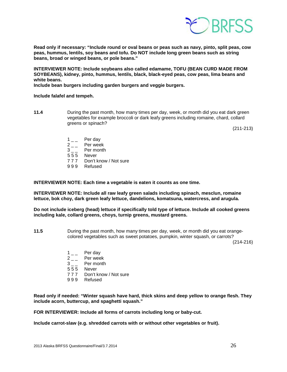

**Read only if necessary: "Include round or oval beans or peas such as navy, pinto, split peas, cow peas, hummus, lentils, soy beans and tofu. Do NOT include long green beans such as string beans, broad or winged beans, or pole beans."**

**INTERVIEWER NOTE: Include soybeans also called edamame, TOFU (BEAN CURD MADE FROM SOYBEANS), kidney, pinto, hummus, lentils, black, black-eyed peas, cow peas, lima beans and white beans.**

**Include bean burgers including garden burgers and veggie burgers.**

#### **Include falafel and tempeh.**

**11.4** During the past month, how many times per day, week, or month did you eat dark green vegetables for example broccoli or dark leafy greens including romaine, chard, collard greens or spinach?

(211-213)

- $1_{--}$  Per day
- $2 \quad \quad$  Per week<br>3 Per month
- Per month
- 5 5 5 Never
- 7 7 7 Don't know / Not sure
- 9 9 9 Refused

**INTERVIEWER NOTE: Each time a vegetable is eaten it counts as one time.**

**INTERVIEWER NOTE: Include all raw leafy green salads including spinach, mesclun, romaine lettuce, bok choy, dark green leafy lettuce, dandelions, komatsuna, watercress, and arugula.**

**Do not include iceberg (head) lettuce if specifically told type of lettuce. Include all cooked greens including kale, collard greens, choys, turnip greens, mustard greens.** 

**11.5** During the past month, how many times per day, week, or month did you eat orangecolored vegetables such as sweet potatoes, pumpkin, winter squash, or carrots?

(214-216)

- $1_{--}$  Per day
- $2_{--}$  Per week<br>3 Per month
- Per month
- 5 5 5 Never
- 7 7 7 Don't know / Not sure
- 9 9 9 Refused

**Read only if needed: "Winter squash have hard, thick skins and deep yellow to orange flesh. They include acorn, buttercup, and spaghetti squash."**

**FOR INTERVIEWER: Include all forms of carrots including long or baby-cut.**

**Include carrot-slaw (e.g. shredded carrots with or without other vegetables or fruit).**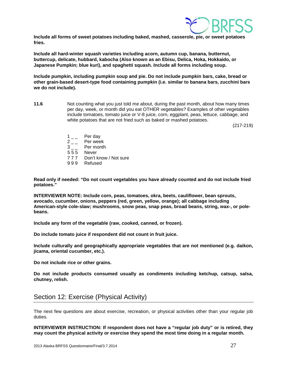

**Include all forms of sweet potatoes including baked, mashed, casserole, pie, or sweet potatoes fries.** 

**Include all hard-winter squash varieties including acorn, autumn cup, banana, butternut, buttercup, delicate, hubbard, kabocha (Also known as an Ebisu, Delica, Hoka, Hokkaido, or Japanese Pumpkin; blue kuri), and spaghetti squash. Include all forms including soup.**

**Include pumpkin, including pumpkin soup and pie. Do not include pumpkin bars, cake, bread or other grain-based desert-type food containing pumpkin (i.e. similar to banana bars, zucchini bars we do not include).**

**11.6** Not counting what you just told me about, during the past month, about how many times per day, week, or month did you eat OTHER vegetables? Examples of other vegetables include tomatoes, tomato juice or V-8 juice, corn, eggplant, peas, lettuce, cabbage, and white potatoes that are not fried such as baked or mashed potatoes.

(217-219)

- $1_{--}$  Per day
- 
- $2 \quad \quad$  Per week<br>3 Per month
- 5 5 5 Never
- 7 7 7 Don't know / Not sure
- 9 9 9 Refused

**Read only if needed: "Do not count vegetables you have already counted and do not include fried potatoes."**

**INTERVIEWER NOTE: Include corn, peas, tomatoes, okra, beets, cauliflower, bean sprouts, avocado, cucumber, onions, peppers (red, green, yellow, orange); all cabbage including American-style cole-slaw; mushrooms, snow peas, snap peas, broad beans, string, wax-, or polebeans.** 

**Include any form of the vegetable (raw, cooked, canned, or frozen).** 

**Do include tomato juice if respondent did not count in fruit juice.**

**Include culturally and geographically appropriate vegetables that are not mentioned (e.g. daikon, jicama, oriental cucumber, etc.).**

**Do not include rice or other grains.**

**Do not include products consumed usually as condiments including ketchup, catsup, salsa, chutney, relish.** 

# <span id="page-26-0"></span>Section 12: Exercise (Physical Activity)

The next few questions are about exercise, recreation, or physical activities other than your regular job duties.

**INTERVIEWER INSTRUCTION: If respondent does not have a "regular job duty" or is retired, they may count the physical activity or exercise they spend the most time doing in a regular month.**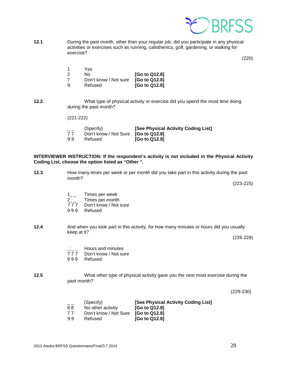

**12.1** During the past month, other than your regular job, did you participate in any physical activities or exercises such as running, calisthenics, golf, gardening, or walking for exercise?

(220)

|    | Yes                   |               |
|----|-----------------------|---------------|
| -2 | No.                   | [Go to Q12.8] |
|    | Don't know / Not sure | [Go to Q12.8] |
| -9 | Refused               | [Go to Q12.8] |

### **12.2**. What type of physical activity or exercise did you spend the most time doing during the past month?

(221-222)

| (Specify)<br>Don't know / Not Sure [Go to Q12.8]<br>[G <sub>o</sub> to Q <sub>12.8</sub> ]<br>99<br>Refused | [See Physical Activity Coding List] |
|-------------------------------------------------------------------------------------------------------------|-------------------------------------|
|-------------------------------------------------------------------------------------------------------------|-------------------------------------|

# **INTERVIEWER INSTRUCTION: If the respondent's activity is not included in the Physical Activity Coding List, choose the option listed as "Other ".**

**12.3** How many times per week or per month did you take part in this activity during the past month?

(223-225)

- $1_{--}$  Times per week
- 2<sub>\_\_</sub> Times per month<br>777 Don't know / Not
- 777 Don't know / Not sure<br>999 Refused
- **Refused**
- **12.4** And when you took part in this activity, for how many minutes or hours did you usually keep at it?

(226-228)

- $\frac{1}{7}$   $\frac{1}{7}$  Hours and minutes
- 777 Don't know / Not sure<br>999 Refused
- **Refused**

# **12.5** What other type of physical activity gave you the next most exercise during the past month?

 $(229-230)$ 

| $=$ $-$ | (Specify)             | [See Physical Activity Coding List] |
|---------|-----------------------|-------------------------------------|
| 88      | No other activity     | [Go to Q12.8]                       |
| 77      | Don't know / Not Sure | <b>IGo to Q12.81</b>                |
| 99      | Refused               | [Go to Q12.8]                       |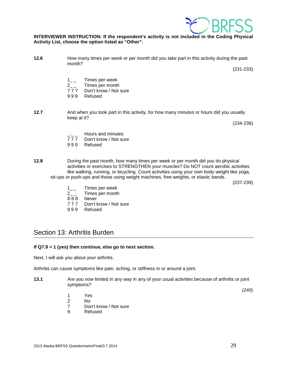

# **INTERVIEWER INSTRUCTION: If the respondent's activity is not included in the Coding Physical Activity List, choose the option listed as "Other".**

**12.6** How many times per week or per month did you take part in this activity during the past month?

(231-233)

- 1\_ \_ Times per week
- 2\_\_ Times per month<br>777 Don't know / Not
- 777 Don't know / Not sure<br>999 Refused
- **Refused**
- **12.7** And when you took part in this activity, for how many minutes or hours did you usually keep at it?

(234-236)

- $\frac{1}{7}$   $\frac{1}{7}$  Hours and minutes
- 777 Don't know / Not sure<br>999 Refused
- **Refused**

**12.8** During the past month, how many times per week or per month did you do physical activities or exercises to STRENGTHEN your muscles? Do NOT count aerobic activities like walking, running, or bicycling. Count activities using your own body weight like yoga, sit-ups or push-ups and those using weight machines, free weights, or elastic bands.

(237-239)

- $1_{-}$  Times per week<br>2 Times per month
- Times per month
- 888 Never<br>777 Don't k
- Don't know / Not sure
- 9 9 9 Refused

# <span id="page-28-0"></span>Section 13: Arthritis Burden

# **If Q7.9 = 1 (yes) then continue, else go to next section.**

Next, I will ask you about your arthritis.

Arthritis can cause symptoms like pain, aching, or stiffness in or around a joint.

**13.1** Are you now limited in any way in any of your usual activities because of arthritis or joint symptoms?

(240)

- 1 Yes
- 2 No
	- 7 Don't know / Not sure
	- 9 Refused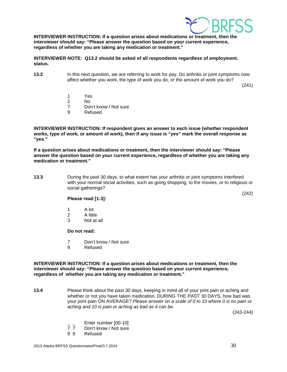

**INTERVIEWER INSTRUCTION: If a question arises about medications or treatment, then the interviewer should say: "Please answer the question based on your current experience, regardless of whether you are taking any medication or treatment."**

**INTERVIEWER NOTE: Q13.2 should be asked of all respondents regardless of employment. status.**

**13.2** In this next question, we are referring to work for pay. Do arthritis or joint symptoms now affect whether you work, the type of work you do, or the amount of work you do?

(241)

- 1 Yes
- 2 No
- 7 Don't know / Not sure<br>9 Refused
- **Refused**

**INTERVIEWER INSTRUCTION: If respondent gives an answer to each issue (whether respondent works, type of work, or amount of work), then if any issue is "yes" mark the overall response as "yes."** 

**If a question arises about medications or treatment, then the interviewer should say: "Please answer the question based on your current experience, regardless of whether you are taking any medication or treatment."**

**13.3** During the past 30 days, to what extent has your arthritis or joint symptoms interfered with your normal social activities, such as going shopping, to the movies, or to religious or social gatherings?

(242)

# **Please read [1-3]:**

- 1 A lot
- 2 A little<br>3 Not at
- Not at all

# **Do not read:**

- 7 Don't know / Not sure
- 9 Refused

### **INTERVIEWER INSTRUCTION: If a question arises about medications or treatment, then the interviewer should say: "Please answer the question based on your current experience, regardless of whether you are taking any medication or treatment."**

**13.4** Please think about the past 30 days, keeping in mind all of your joint pain or aching and whether or not you have taken medication. DURING THE PAST 30 DAYS, how bad was your joint pain ON AVERAGE? *Please answer on a scale of 0 to 10 where 0 is no pain or aching and 10 is pain or aching as bad as it can be*.

(243-244)

- $\frac{1}{7}$  Enter number [00-10]<br>7 7 Don't know / Not sure
- 7 7 Don't know / Not sure<br>9 9 Refused
- **Refused**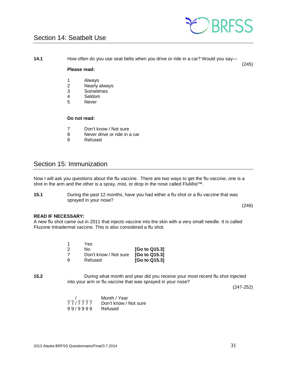

# <span id="page-30-0"></span>Section 14: Seatbelt Use

**14.1** How often do you use seat belts when you drive or ride in a car? Would you say—

# (245)

# **Please read:**

- 1 Always<br>2 Nearly
- 2 Nearly always<br>3 Sometimes
- **Sometimes**
- 4 Seldom
- 5 Never

# **Do not read:**

- 7 Don't know / Not sure<br>8 Never drive or ride in a
- 8 Never drive or ride in a car<br>9 Refused
- **Refused**

# <span id="page-30-1"></span>Section 15: Immunization

Now I will ask you questions about the flu vaccine. There are two ways to get the flu vaccine, one is a shot in the arm and the other is a spray, mist, or drop in the nose called FluMist™.

**15.1** During the past 12 months, have you had either a flu shot or a flu vaccine that was sprayed in your nose?

(246)

# **READ IF NECESSARY:**

A new flu shot came out in 2011 that injects vaccine into the skin with a very small needle. It is called Fluzone Intradermal vaccine. This is also considered a flu shot.

|          | Yes                   |               |
|----------|-----------------------|---------------|
| 2        | Nο                    | [Go to Q15.3] |
| 7        | Don't know / Not sure | [Go to Q15.3] |
| <b>g</b> | Refused               | [Go to Q15.3] |

**15.2** During what month and year did you receive your most recent flu shot injected into your arm or flu vaccine that was sprayed in your nose?

(247-252)

|         | Month / Year          |
|---------|-----------------------|
| 77/7777 | Don't know / Not sure |
| 99/9999 | Refused               |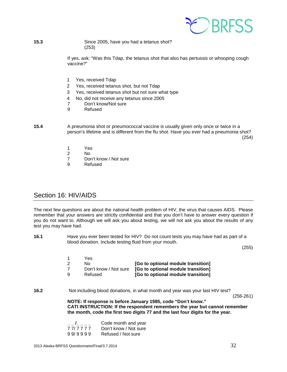

**15.3** Since 2005, have you had a tetanus shot? (253)

> If yes, ask: "Was this Tdap, the tetanus shot that also has pertussis or whooping cough vaccine?"

- 1 Yes, received Tdap
- 2 Yes, received tetanus shot, but not Tdap
- 3 Yes, received tetanus shot but not sure what type
- 4 No, did not receive any tetanus since 2005
	- Don't know/Not sure
- 9 Refused

**15.4** A pneumonia shot or pneumococcal vaccine is usually given only once or twice in a person's lifetime and is different from the flu shot. Have you ever had a pneumonia shot?  $(254)$ 

- 1 Yes
- 2 No
- 7 Don't know / Not sure<br>9 Refused
- **Refused**

# <span id="page-31-0"></span>Section 16: HIV/AIDS

The next few questions are about the national health problem of HIV, the virus that causes AIDS. Please remember that your answers are strictly confidential and that you don't have to answer every question if you do not want to. Although we will ask you about testing, we will not ask you about the results of any test you may have had.

**16.1** Have you ever been tested for HIV? Do not count tests you may have had as part of a blood donation. Include testing fluid from your mouth.

(255)

|     | Yes.                  |                                    |
|-----|-----------------------|------------------------------------|
| -2  | No.                   | [Go to optional module transition] |
| 7   | Don't know / Not sure | [Go to optional module transition] |
| - q | Refused               | [Go to optional module transition] |

**16.2** Not including blood donations, in what month and year was your last HIV test?

(256-261)

**NOTE: If response is before January 1985, code "Don't know." CATI INSTRUCTION: If the respondent remembers the year but cannot remember the month, code the first two digits 77 and the last four digits for the year.** 

|         | Code month and year   |
|---------|-----------------------|
| 77/7777 | Don't know / Not sure |
| 99/9999 | Refused / Not sure    |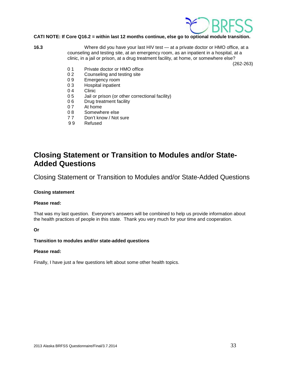

# **CATI NOTE: If Core Q16.2 = within last 12 months continue, else go to optional module transition.**

**16.3** Where did you have your last HIV test — at a private doctor or HMO office, at a counseling and testing site, at an emergency room, as an inpatient in a hospital, at a clinic, in a jail or prison, at a drug treatment facility, at home, or somewhere else?

(262-263)

- 0 1 Private doctor or HMO office
- 0 2 Counseling and testing site<br>0 9 Emergency room
- 0 9 Emergency room<br>0 3 Hospital inpatient
- 0 3 Hospital inpatient<br>0 4 Clinic
- 0 4 Clinic<br>0 5 Jail or
- Jail or prison (or other correctional facility)
- 0 6 Drug treatment facility
- 0 7 At home<br>0 8 Somewh
- Somewhere else
- 77 Don't know / Not sure<br>99 Refused
- **Refused**

# **Closing Statement or Transition to Modules and/or State-Added Questions**

Closing Statement or Transition to Modules and/or State-Added Questions

# **Closing statement**

# **Please read:**

That was my last question. Everyone's answers will be combined to help us provide information about the health practices of people in this state. Thank you very much for your time and cooperation.

# **Or**

# **Transition to modules and/or state-added questions**

#### **Please read:**

Finally, I have just a few questions left about some other health topics.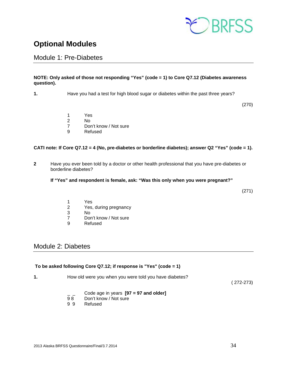

# <span id="page-33-0"></span>**Optional Modules**

<span id="page-33-1"></span>Module 1: Pre-Diabetes

# **NOTE: Only asked of those not responding "Yes" (code = 1) to Core Q7.12 (Diabetes awareness question).**

**1.** Have you had a test for high blood sugar or diabetes within the past three years?

(270)

- 1 Yes
- 2 No<br>7 Dor
- 7 Don't know / Not sure<br>9 Refused
	- **Refused**

# **CATI note: If Core Q7.12 = 4 (No, pre-diabetes or borderline diabetes); answer Q2 "Yes" (code = 1).**

**2** Have you ever been told by a doctor or other health professional that you have pre-diabetes or borderline diabetes?

# **If "Yes" and respondent is female, ask: "Was this only when you were pregnant?"**

(271)

- 1 Yes
- 2 Yes, during pregnancy<br>3 No
- 3 No
- Don't know / Not sure
- 9 Refused

# <span id="page-33-2"></span>Module 2: Diabetes

# **To be asked following Core Q7.12; if response is "Yes" (code = 1)**

**1.** How old were you when you were told you have diabetes?

( 272-273)

- \_ \_ Code age in years **[97 = 97 and older]**
- Don't know / Not sure
- 9 9 Refused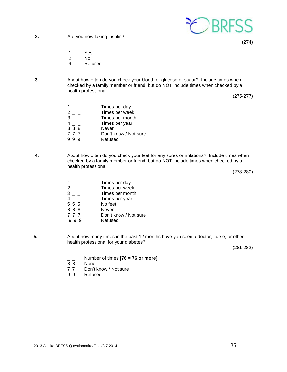

**2.** Are you now taking insulin?

- 1 Yes
- 2 No<br>9 Ref
- **Refused**
- **3.** About how often do you check your blood for glucose or sugar? Include times when checked by a family member or friend, but do NOT include times when checked by a health professional.

(275-277)

(274)

|     | Times per day         |
|-----|-----------------------|
|     | Times per week        |
|     | Times per month       |
|     | Times per year        |
| 888 | Never                 |
| 777 | Don't know / Not sure |
|     | Refused               |

**4.** About how often do you check your feet for any sores or irritations? Include times when checked by a family member or friend, but do NOT include times when checked by a health professional.

(278-280)

- $\begin{array}{ccc} 1 & & \text{Times per day} \\ 2 & & \text{Times per week} \\ \end{array}$  $2 -$  Times per week<br> $3 -$  Times per month  $3 - 2$  Times per month<br>4 Times per year Times per year<br>No feet  $\begin{array}{cc} 4 \\ 5 \end{array} \overline{5} \begin{array}{c} - \\ 5 \end{array}$ 8 8 8 Never<br>
7 7 7 Don't k 7 7 7 Don't know / Not sure<br>9 9 9 Refused Refused
- **5.** About how many times in the past 12 months have you seen a doctor, nurse, or other health professional for your diabetes?

(281-282)

- \_ \_ Number of times **[76 = 76 or more]**
- 8 8 None<br>7 7 Don't
- 7 7 Don't know / Not sure<br>9 9 Refused
- Refused

2013 Alaska BRFSS Questionnaire/Final/3.7.2014 35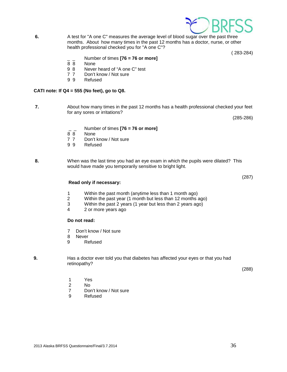

1 Yes<br>2 No No.

**Do not read:** 

8 Never 9 Refused

- 7 Don't know / Not sure
- 9 Refused
- retinopathy?

**9.** Has a doctor ever told you that diabetes has affected your eyes or that you had

(288)

would have made you temporarily sensitive to bright light.

 1 Within the past month (anytime less than 1 month ago) 2 Within the past year (1 month but less than 12 months ago)<br>3 Within the past 2 years (1 year but less than 2 years ago) Within the past 2 years (1 year but less than 2 years ago)

- \_ \_ Number of times **[76 = 76 or more]** 8 8 None
- 7 7 Don't know / Not sure<br>9 9 Refused

**Read only if necessary:**

4 2 or more years ago

7 Don't know / Not sure

**Refused** 

**CATI note: If Q4 = 555 (No feet), go to Q8.**

None

**Refused** 

for any sores or irritations?

- **8.** When was the last time you had an eye exam in which the pupils were dilated? This
- 
- -
	-
- 

**7.** About how many times in the past 12 months has a health professional checked your feet

- 
- 
- $\frac{1}{8}$  Number of times **[76 = 76 or more]** 9 8 Never heard of "A one C" test 7 7 Don't know / Not sure<br>9 9 Refused
- **6.** A test for "A one C" measures the average level of blood sugar over the past three months. About how many times in the past 12 months has a doctor, nurse, or other health professional checked you for "A one C"?

( 283-284)

(285-286)

(287)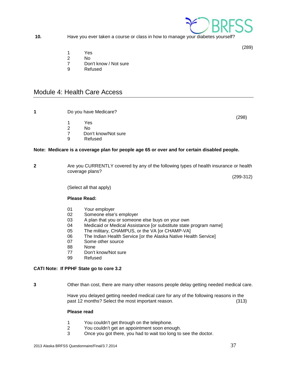

**10.** Have you ever taken a course or class in how to manage your diabetes yourself?

(289)

- 1 Yes
- 2 No<br>7 Dor
- Don't know / Not sure
- 9 Refused

# <span id="page-36-0"></span>Module 4: Health Care Access

**1** Do you have Medicare?

(298)

- 1 Yes<br>2 No
- 2 No<br>7 Dor Don't know/Not sure
- 9 Refused

# **Note: Medicare is a coverage plan for people age 65 or over and for certain disabled people.**

**2** Are you CURRENTLY covered by any of the following types of health insurance or health coverage plans?

 $(299-312)$ 

(Select all that apply)

# **Please Read:**

- 01 Your employer
- 02 Someone else's employer
- 03 A plan that you or someone else buys on your own<br>04 Medicaid or Medical Assistance for substitute state
- Medicaid or Medical Assistance [or substitute state program name]
- 05 The military, CHAMPUS, or the VA [or CHAMP-VA]<br>06 The Indian Health Service for the Alaska Native Hea
- The Indian Health Service [or the Alaska Native Health Service]
- 07 Some other source
- 88 None
- 77 Don't know/Not sure
- 99 Refused

# **CATI Note: If PPHF State go to core 3.2**

**3** Other than cost, there are many other reasons people delay getting needed medical care.

Have you delayed getting needed medical care for any of the following reasons in the past 12 months? Select the most important reason. (313)

# **Please read**

- 1 You couldn't get through on the telephone.<br>2 You couldn't get an appointment soon enou
- 2 You couldn't get an appointment soon enough.<br>3 Once you got there, you had to wait too long to
- Once you got there, you had to wait too long to see the doctor.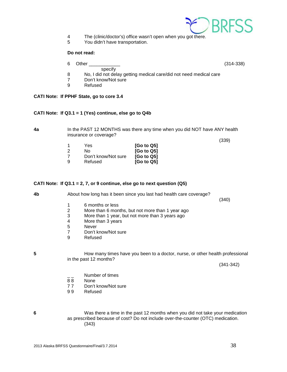

- 4 The (clinic/doctor's) office wasn't open when you got there.<br>5 You didn't have transportation.
- You didn't have transportation.

# **Do not read:**

6 Other \_\_\_\_\_\_\_\_\_\_\_\_ (314-338)

- specify
- 8 No, I did not delay getting medical care/did not need medical care<br>7 Don't know/Not sure
- 7 Don't know/Not sure<br>9 Refused
- **Refused**

# **CATI Note: If PPHF State, go to core 3.4**

# **CATI Note: If Q3.1 = 1 (Yes) continue, else go to Q4b**

**4a** In the PAST 12 MONTHS was there any time when you did NOT have ANY health insurance or coverage?

 $(339)$ 

| -1 | Yes                 | [Go to Q5]             |
|----|---------------------|------------------------|
| 2  | Nο                  | [Go to Q5]             |
| 7  | Don't know/Not sure | [Go to Q5]             |
| 9  | Refused             | [G <sub>o</sub> to Q5] |

# **CATI Note: If Q3.1 = 2, 7, or 9 continue, else go to next question (Q5)**

**4b** About how long has it been since you last had health care coverage?

 $(340)$ 

- 1 6 months or less<br>2 More than 6 mon
- 2 More than 6 months, but not more than 1 year ago<br>3 More than 1 year, but not more than 3 years ago
- 3 More than 1 year, but not more than 3 years ago
- More than 3 years
- 5 Never<br>7 Don't k
- 7 Don't know/Not sure<br>9 Refused
- **Refused**

**5 How many times have you been to a doctor, nurse, or other health professional** in the past 12 months?

(341-342)

- $\frac{1}{88}$  Number of times
- None
- 77 Don't know/Not sure<br>99 Refused
- **Refused**
- **6** Was there a time in the past 12 months when you did not take your medication as prescribed because of cost? Do not include over-the-counter (OTC) medication. (343)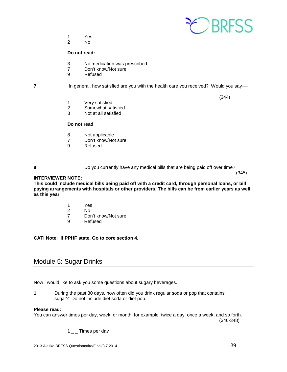

- 1 Yes<br>2 No
	- No.

## **Do not read:**

- 3 No medication was prescribed.<br>7 Don't know/Not sure
- Don't know/Not sure
- 9 Refused

**7** In general, how satisfied are you with the health care you received? Would you say—

 $(344)$ 

- 1 Very satisfied<br>2 Somewhat sat
- 2 Somewhat satisfied<br>3 Not at all satisfied
- Not at all satisfied

# **Do not read**

- 8 Not applicable<br>7 Don't know/No
- 7 Don't know/Not sure<br>9 Refused
- **Refused**

**8** Do you currently have any medical bills that are being paid off over time?

 $(345)$ **INTERVIEWER NOTE:**

**This could include medical bills being paid off with a credit card, through personal loans, or bill paying arrangements with hospitals or other providers. The bills can be from earlier years as well as this year.**

- 1 Yes
- 2 No
- 7 Don't know/Not sure<br>9 Refused
- **Refused**

# **CATI Note: If PPHF state, Go to core section 4.**

# <span id="page-38-0"></span>Module 5: Sugar Drinks

Now I would like to ask you some questions about sugary beverages.

**1.** During the past 30 days, how often did you drink regular soda or pop that contains sugar? Do not include diet soda or diet pop.

#### **Please read:**

You can answer times per day, week, or month: for example, twice a day, once a week, and so forth.

(346-348)

 $1\_\_$  Times per day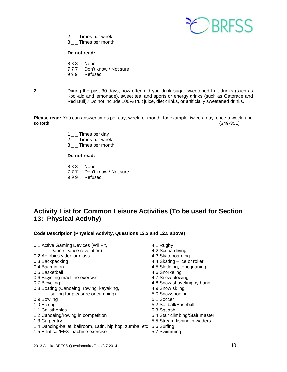

- 2  $\_$  Times per week
- 3  $\_$   $\_$  Times per month

# **Do not read:**

- 888 None<br>777 Don't
- Don't know / Not sure
- 9 9 9 Refused
- **2.** During the past 30 days, how often did you drink sugar-sweetened fruit drinks (such as Kool-aid and lemonade), sweet tea, and sports or energy drinks (such as Gatorade and Red Bull)? Do not include 100% fruit juice, diet drinks, or artificially sweetened drinks.

**Please read:** You can answer times per day, week, or month: for example, twice a day, once a week, and so forth. (349-351)

- 1  $\_$  Times per day
- 2 \_ \_ Times per week
- 3 \_ \_ Times per month

# **Do not read:**

- 8 8 8 None
- 7 7 7 Don't know / Not sure
- 9 9 9 Refused

# <span id="page-39-0"></span>**Activity List for Common Leisure Activities (To be used for Section 13: Physical Activity)**

**Code Description (Physical Activity, Questions 12.2 and 12.5 above)**

| 01 Active Gaming Devices (Wii Fit,                      | 4 1 Rugby                      |
|---------------------------------------------------------|--------------------------------|
| Dance Dance revolution)                                 | 4 2 Scuba diving               |
| 0.2 Aerobics video or class                             | 4 3 Skateboarding              |
| 0 3 Backpacking                                         | 4 4 Skating – ice or roller    |
| 04 Badminton                                            | 4 5 Sledding, tobogganing      |
| 0.5 Basketball                                          | 46 Snorkeling                  |
| 06 Bicycling machine exercise                           | 4 7 Snow blowing               |
| 0 7 Bicycling                                           | 48 Snow shoveling by hand      |
| 08 Boating (Canoeing, rowing, kayaking,                 | 4 9 Snow skiing                |
| sailing for pleasure or camping)                        | 50 Snowshoeing                 |
| 09 Bowling                                              | 51 Soccer                      |
| 10 Boxing                                               | 5.2 Softball/Baseball          |
| 1 1 Calisthenics                                        | 53 Squash                      |
| 1 2 Canoeing/rowing in competition                      | 54 Stair climbing/Stair master |
| 1 3 Carpentry                                           | 55 Stream fishing in waders    |
| 14 Dancing-ballet, ballroom, Latin, hip hop, zumba, etc | 56 Surfing                     |
| 15 Elliptical/EFX machine exercise                      | 57 Swimming                    |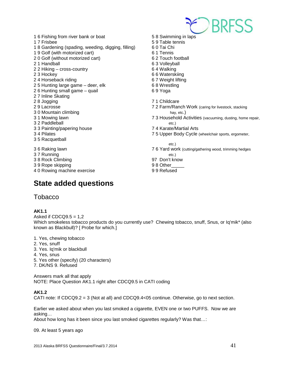

- 1 6 Fishing from river bank or boat 5 8 Swimming in laps 1 7 Frisbee 6 10 17 Frisbee 5 9 Table tennis<br>1 8 Gardening (spading, weeding, digging, filling) 6 0 Tai Chi 1 8 Gardening (spading, weeding, digging, filling) 1 9 Golf (with motorized cart) 6 1 Tennis 2 0 Golf (without motorized cart) 6 2 Touch football 2 1 Handball 6 3 Volleyball 2 2 Hiking – cross-country 6 4 Walking 2 3 Hockey<br>
2 4 Horseback riding<br>
2 4 Horseback riding<br>
2 4 Horseback riding 2 4 Horseback riding 2 5 Hunting large game – deer, elk 6 8 Wrestling 2 6 Hunting small game – quail 6 9 Yoga 2 7 Inline Skating 28 Jogging 28 Jogging 28 Joseph 2012 12:30 12:30 12:30 12:30 12:30 12:30 12:30 12:30 12:30 12:30 12:30 12:30 1 3 0 Mountain climbing hay, etc.) 3 2 Paddleball etc.) 3 3 Painting/papering house 7 4 Karate/Martial Arts 3 5 Racquetball etc.) 3 7 Running etc.) 3 8 Rock Climbing 97 Don't know
- 3 9 Rope skipping and the state of the 9 8 Other
- <span id="page-40-0"></span>4 0 Rowing machine exercise **99 Refused**

# **State added questions**

- 2 9 Lacrosse 7 2 Farm/Ranch Work (caring for livestock, stacking 3 1 Mowing lawn 7 3 Household Activities (vacuuming, dusting, home repair, 3 4 Pilates **75 Upper Body Cycle (wheelchair sports, ergometer,** 3 6 Raking lawn 7 6 Yard work (cutting/gathering wood, trimming hedges
	- -
	-

<span id="page-40-1"></span>**Tobacco** 

# **AK1.1**

Asked if  $CDCQ9.5 = 1,2$ Which smokeless tobacco products do you currently use? Chewing tobacco, snuff, Snus, or Iq'mik\* (also known as Blackbull)? [ Probe for which.]

- 1. Yes, chewing tobacco
- 2. Yes, snuff
- 3. Yes. Iq'mik or blackbull
- 4. Yes, snus
- 5. Yes other (specify) (20 characters)
- 7. DK/NS 9. Refused

Answers mark all that apply NOTE: Place Question AK1.1 right after CDCQ9.5 in CATI coding

# **AK1.2**

CATI note: If CDCQ9.2 = 3 (Not at all) and CDCQ9.4<05 continue. Otherwise, go to next section.

Earlier we asked about when you last smoked a cigarette, EVEN one or two PUFFS. Now we are asking…

About how long has it been since you last smoked cigarettes regularly? Was that…:

09. At least 5 years ago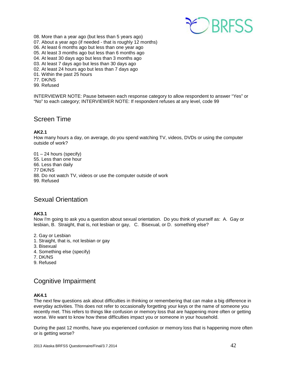

- 08. More than a year ago (but less than 5 years ago)
- 07. About a year ago (if needed that is roughly 12 months)
- 06. At least 6 months ago but less than one year ago
- 05. At least 3 months ago but less than 6 months ago
- 04. At least 30 days ago but less than 3 months ago
- 03. At least 7 days ago but less than 30 days ago
- 02. At least 24 hours ago but less than 7 days ago
- 01. Within the past 25 hours
- 77. DK/NS
- 99. Refused

INTERVIEWER NOTE: Pause between each response category to allow respondent to answer "Yes" or "No" to each category; INTERVIEWER NOTE: If respondent refuses at any level, code 99

# <span id="page-41-0"></span>Screen Time

# **AK2.1**

How many hours a day, on average, do you spend watching TV, videos, DVDs or using the computer outside of work?

01 – 24 hours (specify) 55. Less than one hour 66. Less than daily 77 DK/NS 88. Do not watch TV, videos or use the computer outside of work 99. Refused

# <span id="page-41-1"></span>Sexual Orientation

# **AK3.1**

Now I'm going to ask you a question about sexual orientation. Do you think of yourself as: A. Gay or lesbian, B. Straight, that is, not lesbian or gay, C. Bisexual, or D. something else?

- 2. Gay or Lesbian
- 1. Straight, that is, not lesbian or gay
- 3. Bisexual
- 4. Something else (specify)
- 7. DK/NS
- 9. Refused

# <span id="page-41-2"></span>Cognitive Impairment

# **AK4.1**

The next few questions ask about difficulties in thinking or remembering that can make a big difference in everyday activities. This does not refer to occasionally forgetting your keys or the name of someone you recently met. This refers to things like confusion or memory loss that are happening more often or getting worse. We want to know how these difficulties impact you or someone in your household.

During the past 12 months, have you experienced confusion or memory loss that is happening more often or is getting worse?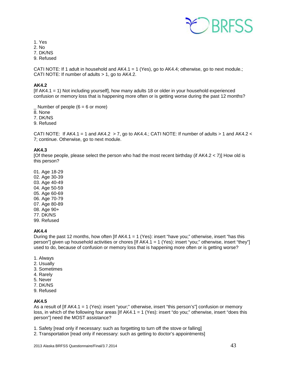

1. Yes

2. No

7. DK/NS

9. Refused

CATI NOTE: If 1 adult in household and  $AK4.1 = 1$  (Yes), go to  $AK4.4$ ; otherwise, go to next module.; CATI NOTE: If number of adults  $> 1$ , go to AK4.2.

# **AK4.2**

[If AK4.1 = 1) Not including yourself], how many adults 18 or older in your household experienced confusion or memory loss that is happening more often or is getting worse during the past 12 months?

Number of people  $(6 = 6 \text{ or more})$ 

8. None

7. DK/NS

9. Refused

CATI NOTE: If AK4.1 = 1 and AK4.2  $>$  7, go to AK4.4.; CATI NOTE: If number of adults  $>$  1 and AK4.2 < 7; continue. Otherwise, go to next module.

# **AK4.3**

[Of these people, please select the person who had the most recent birthday (if AK4.2 < 7)] How old is this person?

01. Age 18-29 02. Age 30-39 03. Age 40-49 04. Age 50-59 05. Age 60-69 06. Age 70-79 07. Age 80-89 08. Age 90+ 77. DK/NS 99. Refused

# **AK4.4**

During the past 12 months, how often [If AK4.1 = 1 (Yes): insert "have you;" otherwise, insert "has this person"] given up household activities or chores [If AK4.1 = 1 (Yes): insert "you;" otherwise, insert "they"] used to do, because of confusion or memory loss that is happening more often or is getting worse?

- 1. Always
- 2. Usually
- 3. Sometimes
- 4. Rarely
- 5. Never
- 7. DK/NS
- 9. Refused

# **AK4.5**

As a result of [If AK4.1 = 1 (Yes): insert "your;" otherwise, insert "this person's"] confusion or memory loss, in which of the following four areas [If AK4.1 = 1 (Yes): insert "do you;" otherwise, insert "does this person"] need the MOST assistance?

1. Safety [read only if necessary: such as forgetting to turn off the stove or falling]

2. Transportation [read only if necessary: such as getting to doctor's appointments]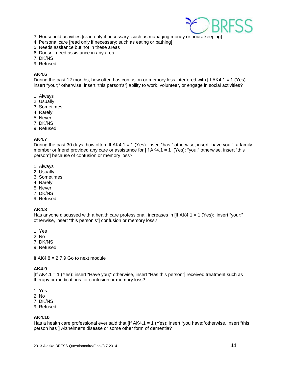

- 3. Household activities [read only if necessary: such as managing money or housekeeping]
- 4. Personal care [read only if necessary: such as eating or bathing]
- 5. Needs assitance but not in these areas
- 6. Doesn't need assistance in any area
- 7. DK/NS
- 9. Refused

# **AK4.6**

During the past 12 months, how often has confusion or memory loss interfered with [If AK4.1 = 1 (Yes): insert "your;" otherwise, insert "this person's"] ability to work, volunteer, or engage in social activities?

- 1. Always
- 2. Usually
- 3. Sometimes
- 4. Rarely
- 5. Never
- 7. DK/NS
- 9. Refused

# **AK4.7**

During the past 30 days, how often  $[$  If AK4.1 = 1 (Yes): insert "has;" otherwise, insert "have you,"] a family member or friend provided any care or assistance for  $[$ If AK4.1 = 1 (Yes): "you;" otherwise, insert "this person"] because of confusion or memory loss?

- 1. Always
- 2. Usually
- 3. Sometimes
- 4. Rarely
- 5. Never
- 7. DK/NS
- 9. Refused

# **AK4.8**

Has anyone discussed with a health care professional, increases in  $[If AK4.1 = 1 (Yes):$  insert "your;" otherwise, insert "this person's"] confusion or memory loss?

- 1. Yes
- 2. No
- 7. DK/NS
- 9. Refused

If  $AK4.8 = 2,7,9$  Go to next module

# **AK4.9**

[If AK4.1 = 1 (Yes): insert "Have you;" otherwise, insert "Has this person"] received treatment such as therapy or medications for confusion or memory loss?

1. Yes

2. No

- 7. DK/NS
- 9. Refused

# **AK4.10**

Has a health care professional ever said that [If AK4.1 = 1 (Yes): insert "you have;"otherwise, insert "this person has"] Alzheimer's disease or some other form of dementia?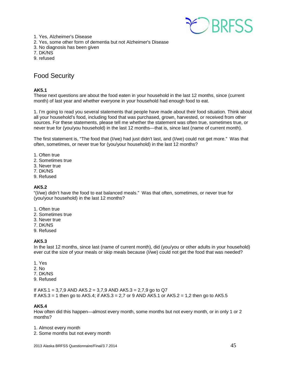

- 1. Yes, Alzheimer's Disease 2. Yes, some other form of dementia but not Alzheimer's Disease
- 3. No diagnosis has been given
- 7. DK/NS
- 9. refused

# <span id="page-44-0"></span>Food Security

# **AK5.1**

These next questions are about the food eaten in your household in the last 12 months, since (current month) of last year and whether everyone in your household had enough food to eat.

1. I'm going to read you several statements that people have made about their food situation. Think about all your household's food, including food that was purchased, grown, harvested, or received from other sources. For these statements, please tell me whether the statement was often true, sometimes true, or never true for (you/you household) in the last 12 months—that is, since last (name of current month).

The first statement is, "The food that (I/we) had just didn't last, and (I/we) could not get more." Was that often, sometimes, or never true for (you/your household) in the last 12 months?

- 1. Often true
- 2. Sometimes true
- 3. Never true
- 7. DK/NS
- 9. Refused

# **AK5.2**

"(I/we) didn't have the food to eat balanced meals." Was that often, sometimes, or never true for (you/your household) in the last 12 months?

- 1. Often true
- 2. Sometimes true
- 3. Never true
- 7. DK/NS
- 9. Refused

# **AK5.3**

In the last 12 months, since last (name of current month), did (you/you or other adults in your household) ever cut the size of your meals or skip meals because (I/we) could not get the food that was needed?

- 1. Yes
- 2. No
- 7. DK/NS
- 9. Refused

If AK5.1 = 3.7.9 AND AK5.2 = 3.7.9 AND AK5.3 = 2.7.9 go to Q7 If  $AK5.3 = 1$  then go to  $AK5.4$ ; if  $AK5.3 = 2.7$  or 9 AND  $AK5.1$  or  $AK5.2 = 1.2$  then go to  $AK5.5$ 

# **AK5.4**

How often did this happen—almost every month, some months but not every month, or in only 1 or 2 months?

1. Almost every month

2. Some months but not every month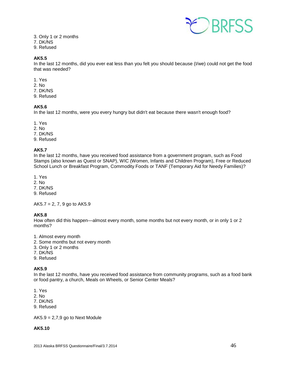

- 3. Only 1 or 2 months
- 7. DK/NS
- 9. Refused

# **AK5.5**

In the last 12 months, did you ever eat less than you felt you should because (I/we) could not get the food that was needed?

- 1. Yes
- 2. No
- 7. DK/NS
- 9. Refused

# **AK5.6**

In the last 12 months, were you every hungry but didn't eat because there wasn't enough food?

- 1. Yes
- 2. No
- 7. DK/NS
- 9. Refused

# **AK5.7**

In the last 12 months, have you received food assistance from a government program, such as Food Stamps (also known as Quest or SNAP), WIC (Women, Infants and Children Program), Free or Reduced School Lunch or Breakfast Program, Commodity Foods or TANF (Temporary Aid for Needy Families)?

- 1. Yes
- 2. No
- 7. DK/NS
- 9. Refused

 $AK5.7 = 2, 7, 9$  go to  $AK5.9$ 

# **AK5.8**

How often did this happen—almost every month, some months but not every month, or in only 1 or 2 months?

- 1. Almost every month
- 2. Some months but not every month
- 3. Only 1 or 2 months
- 7. DK/NS
- 9. Refused

# **AK5.9**

In the last 12 months, have you received food assistance from community programs, such as a food bank or food pantry, a church, Meals on Wheels, or Senior Center Meals?

- 1. Yes
- 2. No
- 7. DK/NS
- 9. Refused

 $AK5.9 = 2,7,9$  go to Next Module

# **AK5.10**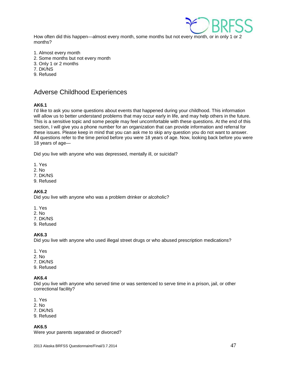

How often did this happen—almost every month, some months but not every month, or in only 1 or 2 months?

- 1. Almost every month
- 2. Some months but not every month
- 3. Only 1 or 2 months
- 7. DK/NS
- 9. Refused

# <span id="page-46-0"></span>Adverse Childhood Experiences

# **AK6.1**

I'd like to ask you some questions about events that happened during your childhood. This information will allow us to better understand problems that may occur early in life, and may help others in the future. This is a sensitive topic and some people may feel uncomfortable with these questions. At the end of this section, I will give you a phone number for an organization that can provide information and referral for these issues. Please keep in mind that you can ask me to skip any question you do not want to answer. All questions refer to the time period before you were 18 years of age. Now, looking back before you were 18 years of age—

Did you live with anyone who was depressed, mentally ill, or suicidal?

- 1. Yes
- 2. No
- 7. DK/NS
- 9. Refused

# **AK6.2**

Did you live with anyone who was a problem drinker or alcoholic?

- 1. Yes
- 2. No
- 7. DK/NS
- 9. Refused

# **AK6.3**

Did you live with anyone who used illegal street drugs or who abused prescription medications?

- 1. Yes
- 2. No
- 7. DK/NS
- 9. Refused

# **AK6.4**

Did you live with anyone who served time or was sentenced to serve time in a prison, jail, or other correctional facility?

- 1. Yes
- 2. No
- 7. DK/NS
- 9. Refused

**AK6.5**

Were your parents separated or divorced?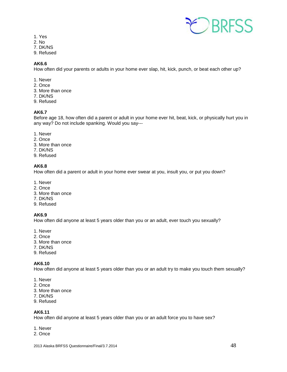

- 1. Yes
- 2. No
- 7. DK/NS
- 9. Refused

# **AK6.6**

How often did your parents or adults in your home ever slap, hit, kick, punch, or beat each other up?

- 1. Never
- 2. Once
- 3. More than once
- 7. DK/NS
- 9. Refused

# **AK6.7**

Before age 18, how often did a parent or adult in your home ever hit, beat, kick, or physically hurt you in any way? Do not include spanking. Would you say---

- 1. Never
- 2. Once
- 3. More than once
- 7. DK/NS
- 9. Refused

# **AK6.8**

How often did a parent or adult in your home ever swear at you, insult you, or put you down?

- 1. Never
- 2. Once
- 3. More than once
- 7. DK/NS
- 9. Refused

# **AK6.9**

How often did anyone at least 5 years older than you or an adult, ever touch you sexually?

- 1. Never
- 2. Once
- 3. More than once
- 7. DK/NS
- 9. Refused

# **AK6.10**

How often did anyone at least 5 years older than you or an adult try to make you touch them sexually?

- 1. Never
- 2. Once
- 3. More than once
- 7. DK/NS
- 9. Refused

# **AK6.11**

How often did anyone at least 5 years older than you or an adult force you to have sex?

- 1. Never
- 2. Once